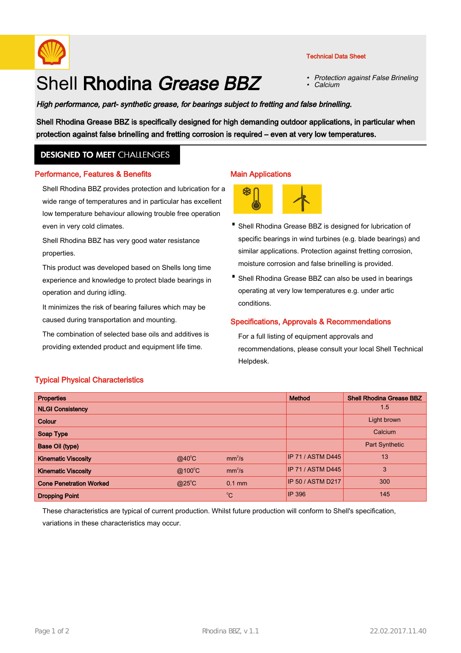

# Shell Rhodina Grease BBZ

#### Technical Data Sheet

• Protection against False Brineling •**Calcium** 

High performance, part- synthetic grease, for bearings subject to fretting and false brinelling.

Shell Rhodina Grease BBZ is specifically designed for high demanding outdoor applications, in particular when protection against false brinelling and fretting corrosion is required – even at very low temperatures.

# **DESIGNED TO MEET CHALLENGES**

## Performance, Features & Benefits

Shell Rhodina BBZ provides protection and lubrication for a wide range of temperatures and in particular has excellent low temperature behaviour allowing trouble free operation even in very cold climates.

Shell Rhodina BBZ has very good water resistance properties.

This product was developed based on Shells long time experience and knowledge to protect blade bearings in operation and during idling.

It minimizes the risk of bearing failures which may be caused during transportation and mounting.

The combination of selected base oils and additives is providing extended product and equipment life time.

## Main Applications



- Shell Rhodina Grease BBZ is designed for lubrication of specific bearings in wind turbines (e.g. blade bearings) and similar applications. Protection against fretting corrosion, moisture corrosion and false brinelling is provided.
- Shell Rhodina Grease BBZ can also be used in bearings operating at very low temperatures e.g. under artic conditions.

# Specifications, Approvals & Recommendations

For a full listing of equipment approvals and recommendations, please consult your local Shell Technical Helpdesk.

## Typical Physical Characteristics

| <b>Properties</b>              |                 |                    | <b>Method</b>            | <b>Shell Rhodina Grease BBZ</b> |
|--------------------------------|-----------------|--------------------|--------------------------|---------------------------------|
| <b>NLGI Consistency</b>        |                 |                    |                          | 1.5                             |
| Colour                         |                 |                    |                          | Light brown                     |
| Soap Type                      |                 |                    |                          | Calcium                         |
| Base Oil (type)                |                 |                    |                          | <b>Part Synthetic</b>           |
| <b>Kinematic Viscosity</b>     | $@40^{\circ}$ C | mm <sup>2</sup> /s | <b>IP 71 / ASTM D445</b> | 13                              |
| <b>Kinematic Viscosity</b>     | @100°C          | mm <sup>2</sup> /s | <b>IP 71 / ASTM D445</b> | 3                               |
| <b>Cone Penetration Worked</b> | $@25^{\circ}$ C | $0.1$ mm           | <b>IP 50 / ASTM D217</b> | 300                             |
| <b>Dropping Point</b>          |                 | $^{\circ}$ C       | <b>IP 396</b>            | 145                             |

These characteristics are typical of current production. Whilst future production will conform to Shell's specification, variations in these characteristics may occur.